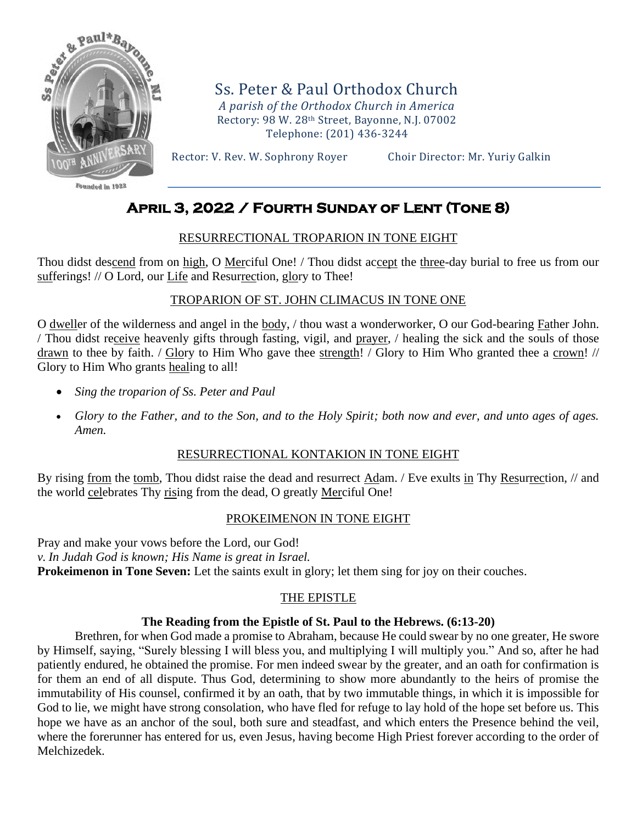

Founded in 1922

Ss. Peter & Paul Orthodox Church *A parish of the Orthodox Church in America* Rectory: 98 W. 28th Street, Bayonne, N.J. 07002 Telephone: (201) 436-3244

Rector: V. Rev. W. Sophrony Royer Choir Director: Mr. Yuriy Galkin

# **April 3, 2022 / Fourth Sunday of Lent (Tone 8)**

### RESURRECTIONAL TROPARION IN TONE EIGHT

Thou didst descend from on high, O Merciful One! / Thou didst accept the three-day burial to free us from our sufferings! // O Lord, our Life and Resurrection, glory to Thee!

### TROPARION OF ST. JOHN CLIMACUS IN TONE ONE

O dweller of the wilderness and angel in the body, / thou wast a wonderworker, O our God-bearing Father John. / Thou didst receive heavenly gifts through fasting, vigil, and prayer, / healing the sick and the souls of those drawn to thee by faith. / Glory to Him Who gave thee strength! / Glory to Him Who granted thee a crown! // Glory to Him Who grants healing to all!

- *Sing the troparion of Ss. Peter and Paul*
- *Glory to the Father, and to the Son, and to the Holy Spirit; both now and ever, and unto ages of ages. Amen.*

### RESURRECTIONAL KONTAKION IN TONE EIGHT

By rising from the tomb, Thou didst raise the dead and resurrect Adam. / Eve exults in Thy Resurrection, // and the world celebrates Thy rising from the dead, O greatly Merciful One!

### PROKEIMENON IN TONE EIGHT

Pray and make your vows before the Lord, our God! *v. In Judah God is known; His Name is great in Israel.* **Prokeimenon in Tone Seven:** Let the saints exult in glory; let them sing for joy on their couches.

# THE EPISTLE

### **The Reading from the Epistle of St. Paul to the Hebrews. (6:13-20)**

Brethren, for when God made a promise to Abraham, because He could swear by no one greater, He swore by Himself, saying, "Surely blessing I will bless you, and multiplying I will multiply you." And so, after he had patiently endured, he obtained the promise. For men indeed swear by the greater, and an oath for confirmation is for them an end of all dispute. Thus God, determining to show more abundantly to the heirs of promise the immutability of His counsel, confirmed it by an oath, that by two immutable things, in which it is impossible for God to lie, we might have strong consolation, who have fled for refuge to lay hold of the hope set before us. This hope we have as an anchor of the soul, both sure and steadfast, and which enters the Presence behind the veil, where the forerunner has entered for us, even Jesus, having become High Priest forever according to the order of Melchizedek.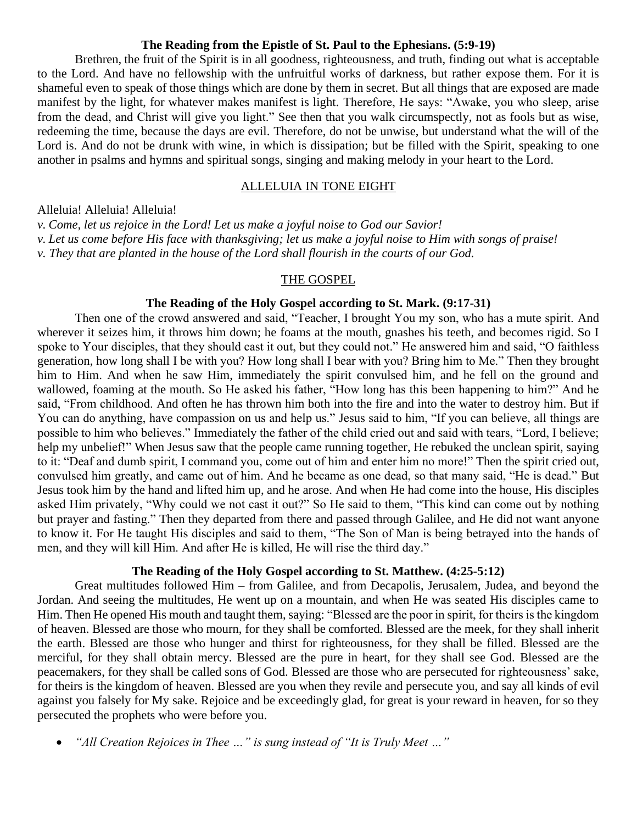#### **The Reading from the Epistle of St. Paul to the Ephesians. (5:9-19)**

Brethren, the fruit of the Spirit is in all goodness, righteousness, and truth, finding out what is acceptable to the Lord. And have no fellowship with the unfruitful works of darkness, but rather expose them. For it is shameful even to speak of those things which are done by them in secret. But all things that are exposed are made manifest by the light, for whatever makes manifest is light. Therefore, He says: "Awake, you who sleep, arise from the dead, and Christ will give you light." See then that you walk circumspectly, not as fools but as wise, redeeming the time, because the days are evil. Therefore, do not be unwise, but understand what the will of the Lord is. And do not be drunk with wine, in which is dissipation; but be filled with the Spirit, speaking to one another in psalms and hymns and spiritual songs, singing and making melody in your heart to the Lord.

#### ALLELUIA IN TONE EIGHT

Alleluia! Alleluia! Alleluia!

*v. Come, let us rejoice in the Lord! Let us make a joyful noise to God our Savior! v. Let us come before His face with thanksgiving; let us make a joyful noise to Him with songs of praise!*

*v. They that are planted in the house of the Lord shall flourish in the courts of our God.*

#### THE GOSPEL

### **The Reading of the Holy Gospel according to St. Mark. (9:17-31)**

Then one of the crowd answered and said, "Teacher, I brought You my son, who has a mute spirit. And wherever it seizes him, it throws him down; he foams at the mouth, gnashes his teeth, and becomes rigid. So I spoke to Your disciples, that they should cast it out, but they could not." He answered him and said, "O faithless generation, how long shall I be with you? How long shall I bear with you? Bring him to Me." Then they brought him to Him. And when he saw Him, immediately the spirit convulsed him, and he fell on the ground and wallowed, foaming at the mouth. So He asked his father, "How long has this been happening to him?" And he said, "From childhood. And often he has thrown him both into the fire and into the water to destroy him. But if You can do anything, have compassion on us and help us." Jesus said to him, "If you can believe, all things are possible to him who believes." Immediately the father of the child cried out and said with tears, "Lord, I believe; help my unbelief!" When Jesus saw that the people came running together, He rebuked the unclean spirit, saying to it: "Deaf and dumb spirit, I command you, come out of him and enter him no more!" Then the spirit cried out, convulsed him greatly, and came out of him. And he became as one dead, so that many said, "He is dead." But Jesus took him by the hand and lifted him up, and he arose. And when He had come into the house, His disciples asked Him privately, "Why could we not cast it out?" So He said to them, "This kind can come out by nothing but prayer and fasting." Then they departed from there and passed through Galilee, and He did not want anyone to know it. For He taught His disciples and said to them, "The Son of Man is being betrayed into the hands of men, and they will kill Him. And after He is killed, He will rise the third day."

#### **The Reading of the Holy Gospel according to St. Matthew. (4:25-5:12)**

Great multitudes followed Him – from Galilee, and from Decapolis, Jerusalem, Judea, and beyond the Jordan. And seeing the multitudes, He went up on a mountain, and when He was seated His disciples came to Him. Then He opened His mouth and taught them, saying: "Blessed are the poor in spirit, for theirs is the kingdom of heaven. Blessed are those who mourn, for they shall be comforted. Blessed are the meek, for they shall inherit the earth. Blessed are those who hunger and thirst for righteousness, for they shall be filled. Blessed are the merciful, for they shall obtain mercy. Blessed are the pure in heart, for they shall see God. Blessed are the peacemakers, for they shall be called sons of God. Blessed are those who are persecuted for righteousness' sake, for theirs is the kingdom of heaven. Blessed are you when they revile and persecute you, and say all kinds of evil against you falsely for My sake. Rejoice and be exceedingly glad, for great is your reward in heaven, for so they persecuted the prophets who were before you.

• *"All Creation Rejoices in Thee …" is sung instead of "It is Truly Meet …"*